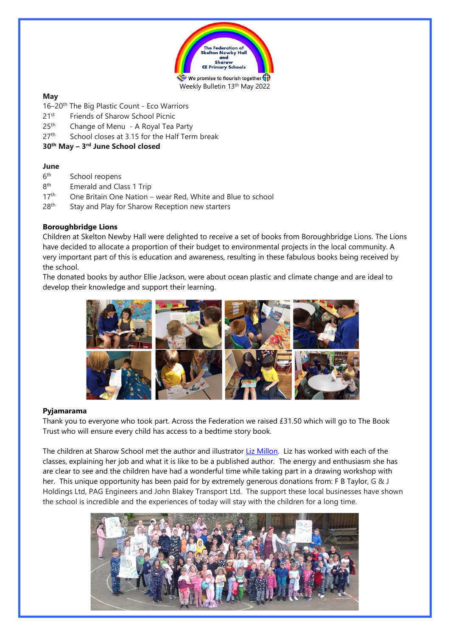

# **May**

- 16–20<sup>th</sup> The Big Plastic Count Eco Warriors
- 21<sup>st</sup> Friends of Sharow School Picnic
- $25<sup>th</sup>$ Change of Menu - A Royal Tea Party
- 27<sup>th</sup> School closes at 3.15 for the Half Term break

# **30th May – 3 rd June School closed**

# **June**

- $6<sup>th</sup>$ School reopens
- 8<sup>th</sup> Emerald and Class 1 Trip
- $17<sup>th</sup>$  One Britain One Nation wear Red, White and Blue to school
- 28<sup>th</sup> Stay and Play for Sharow Reception new starters

# **Boroughbridge Lions**

Children at Skelton Newby Hall were delighted to receive a set of books from Boroughbridge Lions. The Lions have decided to allocate a proportion of their budget to environmental projects in the local community. A very important part of this is education and awareness, resulting in these fabulous books being received by the school.

The donated books by author Ellie Jackson, were about ocean plastic and climate change and are ideal to develop their knowledge and support their learning.



## **Pyjamarama**

Thank you to everyone who took part. Across the Federation we raised £31.50 which will go to The Book Trust who will ensure every child has access to a bedtime story book.

The children at Sharow School met the author and illustrator Liz [Millon.](http://www.lizmillion.com/) Liz has worked with each of the classes, explaining her job and what it is like to be a published author. The energy and enthusiasm she has are clear to see and the children have had a wonderful time while taking part in a drawing workshop with her. This unique opportunity has been paid for by extremely generous donations from: F B Taylor, G & J Holdings Ltd, PAG Engineers and John Blakey Transport Ltd. The support these local businesses have shown the school is incredible and the experiences of today will stay with the children for a long time.

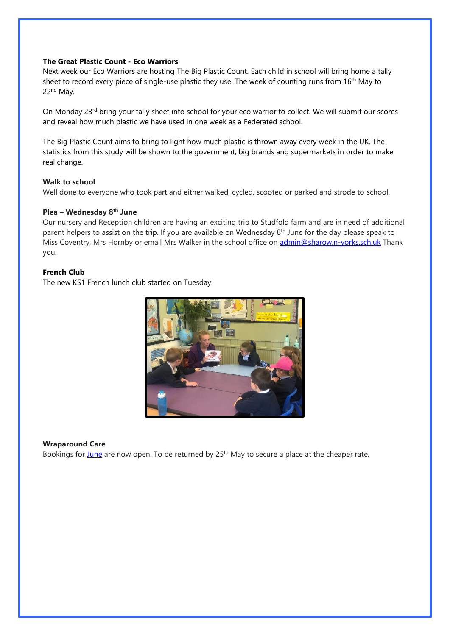## **The Great Plastic Count - Eco Warriors**

Next week our Eco Warriors are hosting The Big Plastic Count. Each child in school will bring home a tally sheet to record every piece of single-use plastic they use. The week of counting runs from 16<sup>th</sup> May to 22nd May.

On Monday 23<sup>rd</sup> bring your tally sheet into school for your eco warrior to collect. We will submit our scores and reveal how much plastic we have used in one week as a Federated school.

The Big Plastic Count aims to bring to light how much plastic is thrown away every week in the UK. The statistics from this study will be shown to the government, big brands and supermarkets in order to make real change.

#### **Walk to school**

Well done to everyone who took part and either walked, cycled, scooted or parked and strode to school.

### **Plea – Wednesday 8th June**

Our nursery and Reception children are having an exciting trip to Studfold farm and are in need of additional parent helpers to assist on the trip. If you are available on Wednesday 8<sup>th</sup> June for the day please speak to Miss Coventry, Mrs Hornby or email Mrs Walker in the school office on [admin@sharow.n-yorks.sch.uk](mailto:admin@sharow.n-yorks.sch.uk) Thank you.

## **French Club**

The new KS1 French lunch club started on Tuesday.



#### **Wraparound Care**

Bookings for [June](https://sharownyorkssch.sharepoint.com/sites/SchoolOffice/Shared%20Documents/Caroline/1%20NEWSLETTER/Attachments) are now open. To be returned by 25<sup>th</sup> May to secure a place at the cheaper rate.